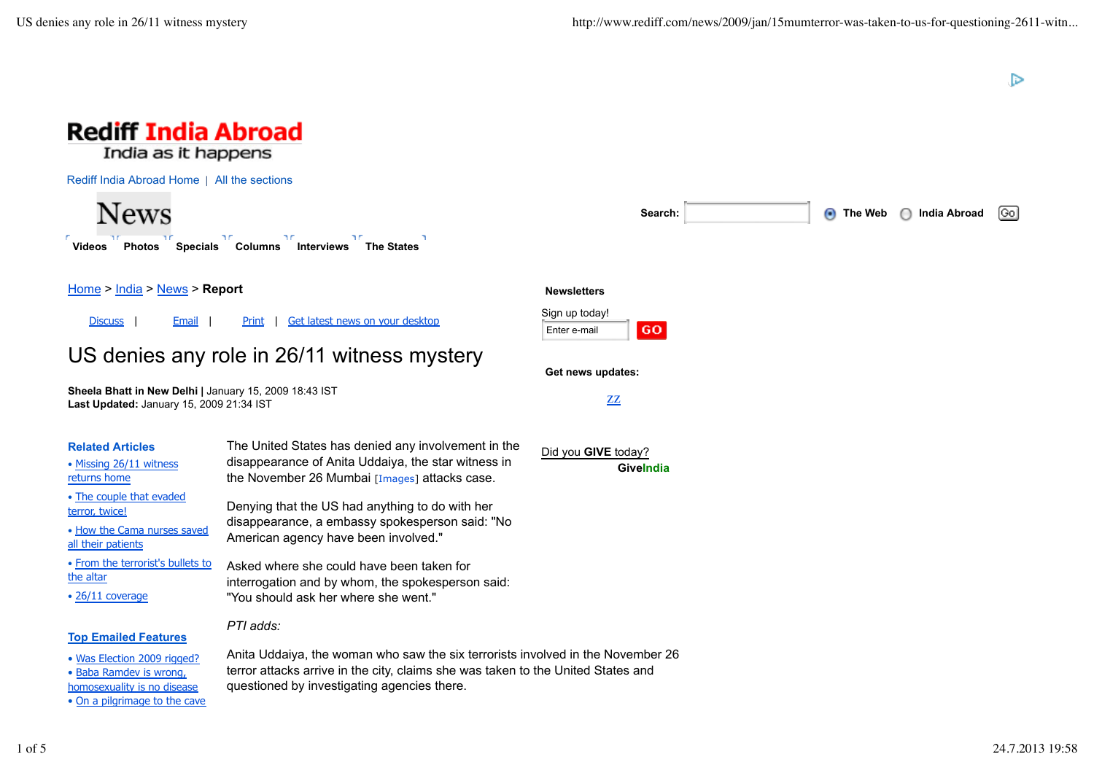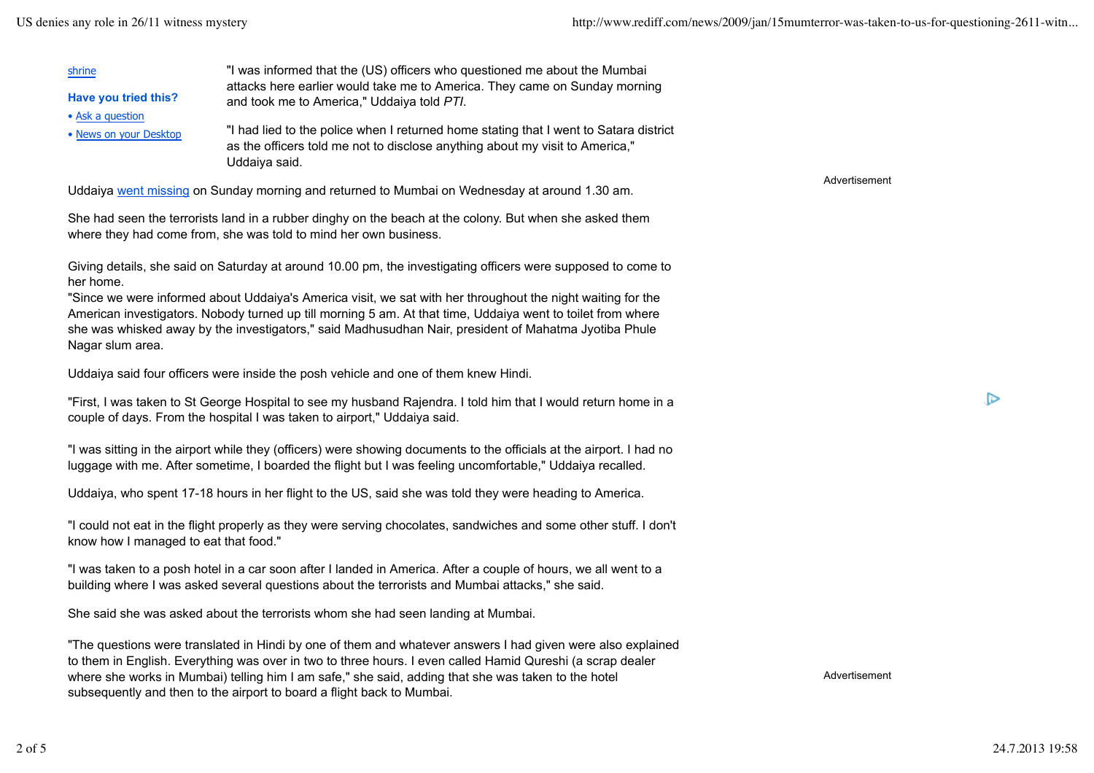| shrine                 | "I was informed that the (US) officers who questioned me about the Mumbai                                                                                                              |
|------------------------|----------------------------------------------------------------------------------------------------------------------------------------------------------------------------------------|
| Have you tried this?   | attacks here earlier would take me to America. They came on Sunday morning<br>and took me to America," Uddaiya told PTI.                                                               |
| • Ask a question       |                                                                                                                                                                                        |
| • News on your Desktop | "I had lied to the police when I returned home stating that I went to Satara district<br>as the officers told me not to disclose anything about my visit to America,"<br>Uddaiya said. |

Uddaiya went missing on Sunday morning and returned to Mumbai on Wednesday at around 1.30 am.

She had seen the terrorists land in a rubber dinghy on the beach at the colony. But when she asked them where they had come from, she was told to mind her own business.

Giving details, she said on Saturday at around 10.00 pm, the investigating officers were supposed to come to her home.

"Since we were informed about Uddaiya's America visit, we sat with her throughout the night waiting for the American investigators. Nobody turned up till morning 5 am. At that time, Uddaiya went to toilet from where she was whisked away by the investigators," said Madhusudhan Nair, president of Mahatma Jyotiba Phule Nagar slum area.

Uddaiya said four officers were inside the posh vehicle and one of them knew Hindi.

"First, I was taken to St George Hospital to see my husband Rajendra. I told him that I would return home in a couple of days. From the hospital I was taken to airport," Uddaiya said.

"I was sitting in the airport while they (officers) were showing documents to the officials at the airport. I had no luggage with me. After sometime, I boarded the flight but I was feeling uncomfortable," Uddaiya recalled.

Uddaiya, who spent 17-18 hours in her flight to the US, said she was told they were heading to America.

"I could not eat in the flight properly as they were serving chocolates, sandwiches and some other stuff. I don't know how I managed to eat that food."

"I was taken to a posh hotel in a car soon after I landed in America. After a couple of hours, we all went to a building where I was asked several questions about the terrorists and Mumbai attacks," she said.

She said she was asked about the terrorists whom she had seen landing at Mumbai.

"The questions were translated in Hindi by one of them and whatever answers I had given were also explained to them in English. Everything was over in two to three hours. I even called Hamid Qureshi (a scrap dealer where she works in Mumbai) telling him I am safe," she said, adding that she was taken to the hotel subsequently and then to the airport to board a flight back to Mumbai.

Advertisement

 $\triangleright$ 

Advertisement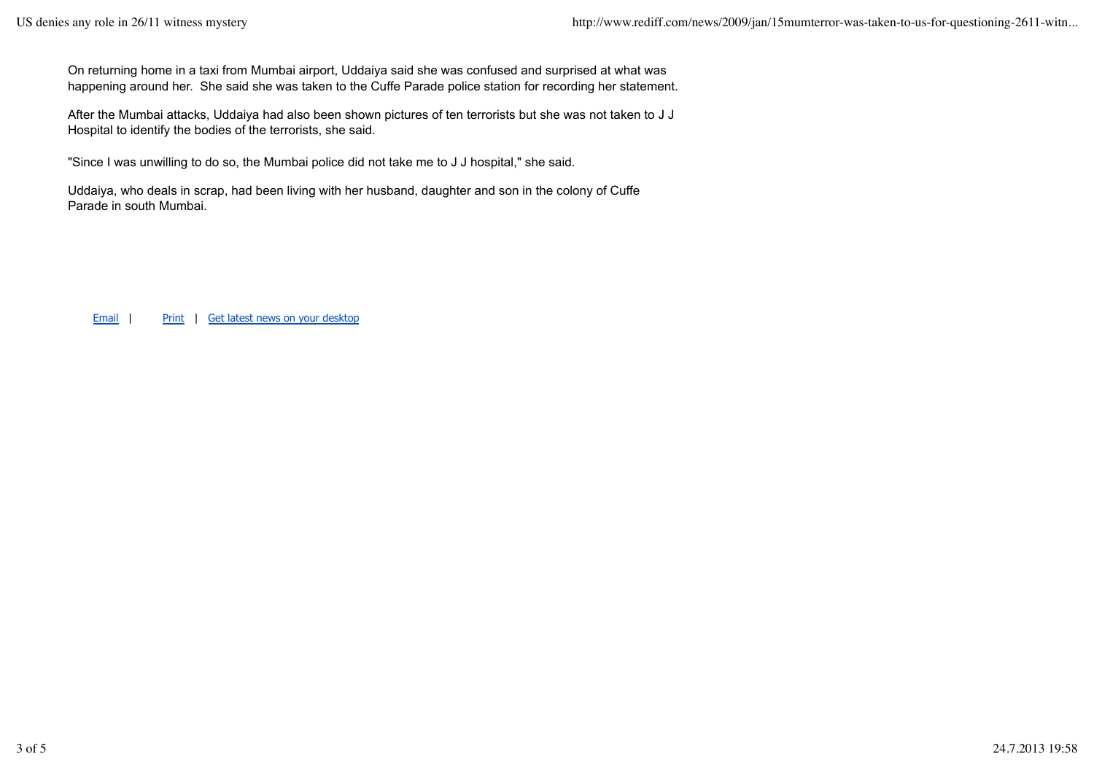On returning home in a taxi from Mumbai airport, Uddaiya said she was confused and surprised at what was happening around her. She said she was taken to the Cuffe Parade police station for recording her statement.

After the Mumbai attacks, Uddaiya had also been shown pictures of ten terrorists but she was not taken to J J Hospital to identify the bodies of the terrorists, she said.

"Since I was unwilling to do so, the Mumbai police did not take me to J J hospital," she said.

Uddaiya, who deals in scrap, had been living with her husband, daughter and son in the colony of Cuffe Parade in south Mumbai.

Email | Print | Get latest news on your desktop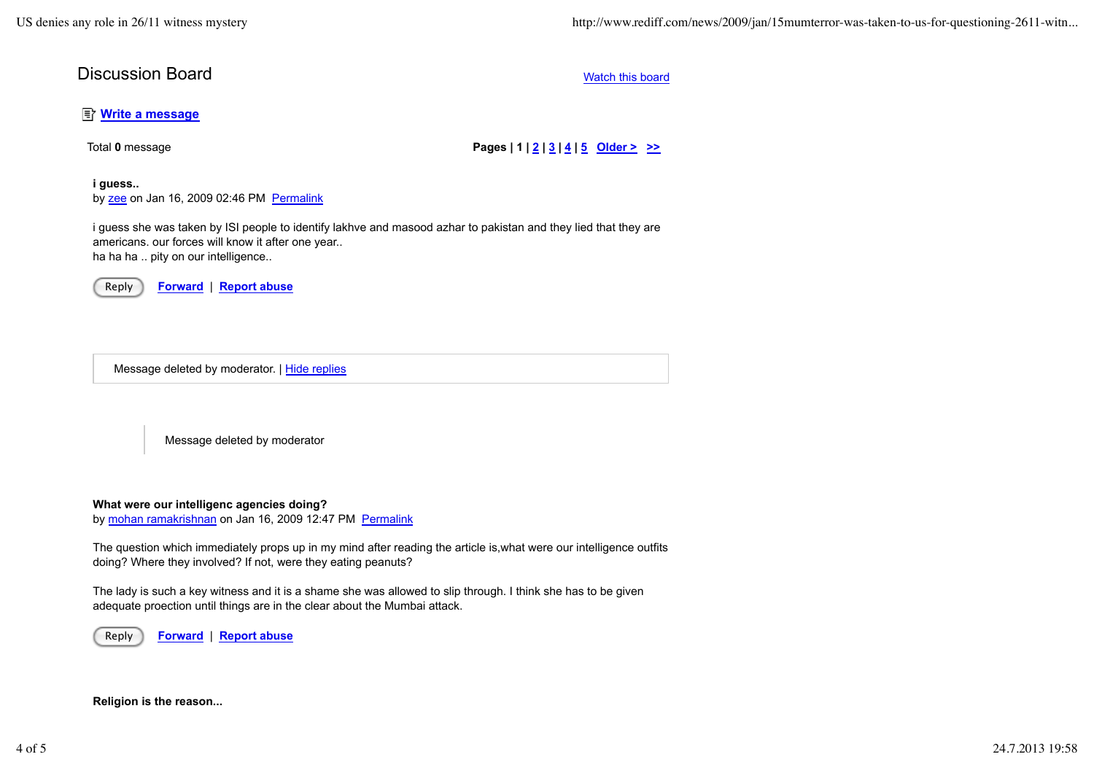## **Discussion Board** Watch this board Watch this board Watch this board

## **E** Write a message

Total 0 message **Pages | 1 | 2 | 3 | 4 | 5 Older > >>** 

## **i guess..**

by zee on Jan 16, 2009 02:46 PM Permalink

i guess she was taken by ISI people to identify lakhve and masood azhar to pakistan and they lied that they are americans. our forces will know it after one year.. ha ha ha .. pity on our intelligence..

Reply **Forward** | **Report abuse**

Message deleted by moderator. | Hide replies

Message deleted by moderator

**What were our intelligenc agencies doing?**

by mohan ramakrishnan on Jan 16, 2009 12:47 PM Permalink

The question which immediately props up in my mind after reading the article is,what were our intelligence outfits doing? Where they involved? If not, were they eating peanuts?

The lady is such a key witness and it is a shame she was allowed to slip through. I think she has to be given adequate proection until things are in the clear about the Mumbai attack.

Reply **Forward** | **Report abuse**

**Religion is the reason...**